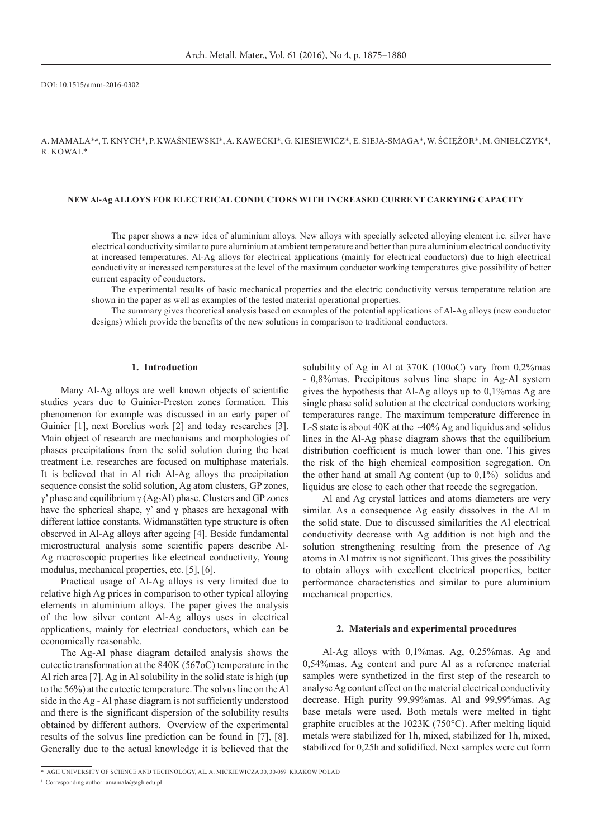DOI: 10.1515/amm-2016-0302

a. Mamala\***,#**, T. Knych\*, P. Kwaśniewski\*, A. Kawecki\*, G. Kiesiewicz\*, E. Sieja-Smaga\*, W. Ściężor\*, M. Gniełczyk\*, R. Kowal\*

#### **New Al-Ag alloys for electrical conductors with increased current carrying capacity**

The paper shows a new idea of aluminium alloys. New alloys with specially selected alloying element i.e. silver have electrical conductivity similar to pure aluminium at ambient temperature and better than pure aluminium electrical conductivity at increased temperatures. Al-Ag alloys for electrical applications (mainly for electrical conductors) due to high electrical conductivity at increased temperatures at the level of the maximum conductor working temperatures give possibility of better current capacity of conductors.

The experimental results of basic mechanical properties and the electric conductivity versus temperature relation are shown in the paper as well as examples of the tested material operational properties.

The summary gives theoretical analysis based on examples of the potential applications of Al-Ag alloys (new conductor designs) which provide the benefits of the new solutions in comparison to traditional conductors.

## **1. Introduction**

Many Al-Ag alloys are well known objects of scientific studies years due to Guinier-Preston zones formation. This phenomenon for example was discussed in an early paper of Guinier [1], next Borelius work [2] and today researches [3]. Main object of research are mechanisms and morphologies of phases precipitations from the solid solution during the heat treatment i.e. researches are focused on multiphase materials. It is believed that in Al rich Al-Ag alloys the precipitation sequence consist the solid solution, Ag atom clusters, GP zones, γ' phase and equilibrium γ (Ag<sub>2</sub>Al) phase. Clusters and GP zones have the spherical shape,  $\gamma'$  and  $\gamma$  phases are hexagonal with different lattice constants. Widmanstätten type structure is often observed in Al-Ag alloys after ageing [4]. Beside fundamental microstructural analysis some scientific papers describe Al-Ag macroscopic properties like electrical conductivity, Young modulus, mechanical properties, etc. [5], [6].

Practical usage of Al-Ag alloys is very limited due to relative high Ag prices in comparison to other typical alloying elements in aluminium alloys. The paper gives the analysis of the low silver content Al-Ag alloys uses in electrical applications, mainly for electrical conductors, which can be economically reasonable.

The Ag-Al phase diagram detailed analysis shows the eutectic transformation at the 840K (567oC) temperature in the Al rich area [7]. Ag in Al solubility in the solid state is high (up to the 56%) at the eutectic temperature. The solvus line on the Al side in the Ag - Al phase diagram is not sufficiently understood and there is the significant dispersion of the solubility results obtained by different authors. Overview of the experimental results of the solvus line prediction can be found in [7], [8]. Generally due to the actual knowledge it is believed that the

solubility of Ag in Al at 370K (100oC) vary from 0,2%mas - 0,8%mas. Precipitous solvus line shape in Ag-Al system gives the hypothesis that Al-Ag alloys up to 0,1%mas Ag are single phase solid solution at the electrical conductors working temperatures range. The maximum temperature difference in L-S state is about 40K at the ~40% Ag and liquidus and solidus lines in the Al-Ag phase diagram shows that the equilibrium distribution coefficient is much lower than one. This gives the risk of the high chemical composition segregation. On the other hand at small Ag content (up to 0,1%) solidus and liquidus are close to each other that recede the segregation.

Al and Ag crystal lattices and atoms diameters are very similar. As a consequence Ag easily dissolves in the Al in the solid state. Due to discussed similarities the Al electrical conductivity decrease with Ag addition is not high and the solution strengthening resulting from the presence of Ag atoms in Al matrix is not significant. This gives the possibility to obtain alloys with excellent electrical properties, better performance characteristics and similar to pure aluminium mechanical properties.

### **2. Materials and experimental procedures**

Al-Ag alloys with 0,1%mas. Ag, 0,25%mas. Ag and 0,54%mas. Ag content and pure Al as a reference material samples were synthetized in the first step of the research to analyse Ag content effect on the material electrical conductivity decrease. High purity 99,99%mas. Al and 99,99%mas. Ag base metals were used. Both metals were melted in tight graphite crucibles at the 1023K (750°C). After melting liquid metals were stabilized for 1h, mixed, stabilized for 1h, mixed, stabilized for 0,25h and solidified. Next samples were cut form

<sup>\*</sup>AGH University of Science and Technology, Al. A. Mickiewicza 30, 30-059 Krakow Polad

**<sup>#</sup>** Corresponding author: amamala@agh.edu.pl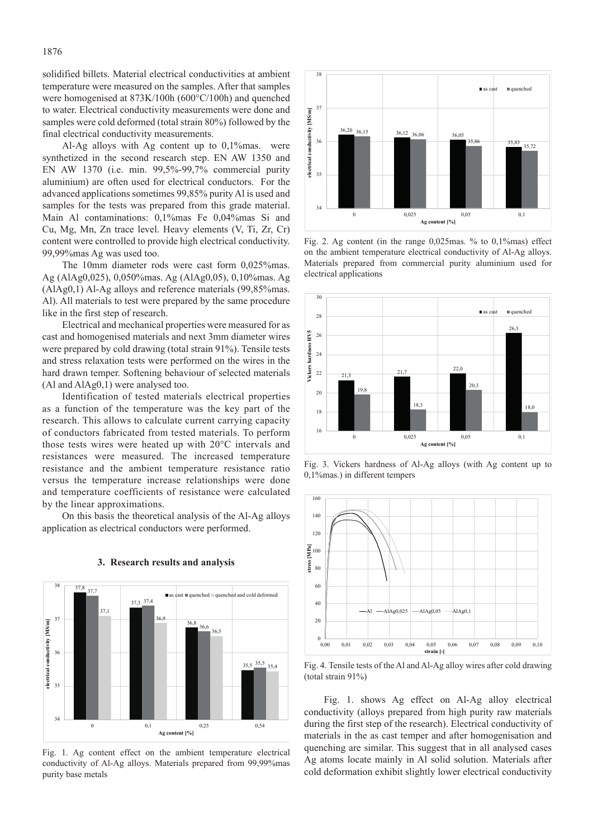solidified billets. Material electrical conductivities at ambient temperature were measured on the samples. After that samples were homogenised at 873K/100h (600°C/100h) and quenched to water. Electrical conductivity measurements were done and samples were cold deformed (total strain 80%) followed by the final electrical conductivity measurements.

Al-Ag alloys with Ag content up to 0,1%mas. were synthetized in the second research step. EN AW 1350 and EN AW 1370 (i.e. min. 99,5%-99,7% commercial purity aluminium) are often used for electrical conductors. For the advanced applications sometimes 99,85% purity Al is used and samples for the tests was prepared from this grade material. Main Al contaminations: 0,1%mas Fe 0,04%mas Si and Cu, Mg, Mn, Zn trace level. Heavy elements (V, Ti, Zr, Cr) content were controlled to provide high electrical conductivity. 99,99%mas Ag was used too.

The 10mm diameter rods were cast form 0,025%mas. Ag (AlAg0,025), 0,050%mas. Ag (AlAg0,05), 0,10%mas. Ag (AlAg0,1) Al-Ag alloys and reference materials (99,85%mas. Al). All materials to test were prepared by the same procedure like in the first step of research.

Electrical and mechanical properties were measured for as cast and homogenised materials and next 3mm diameter wires were prepared by cold drawing (total strain 91%). Tensile tests and stress relaxation tests were performed on the wires in the hard drawn temper. Softening behaviour of selected materials (Al and AlAg0,1) were analysed too.

Identification of tested materials electrical properties as a function of the temperature was the key part of the research. This allows to calculate current carrying capacity of conductors fabricated from tested materials. To perform those tests wires were heated up with 20°C intervals and resistances were measured. The increased temperature resistance and the ambient temperature resistance ratio versus the temperature increase relationships were done and temperature coefficients of resistance were calculated by the linear approximations.

On this basis the theoretical analysis of the Al-Ag alloys application as electrical conductors were performed.



### **3. Research results and analysis**

Fig. 1. Ag content effect on the ambient temperature electrical conductivity of Al-Ag alloys. Materials prepared from 99,99%mas purity base metals



Fig. 2. Ag content (in the range 0,025mas. % to 0,1%mas) effect on the ambient temperature electrical conductivity of Al-Ag alloys. Materials prepared from commercial purity aluminium used for electrical applications



Fig. 3. Vickers hardness of Al-Ag alloys (with Ag content up to 0,1%mas.) in different tempers



Fig. 4. Tensile tests of the Al and Al-Ag alloy wires after cold drawing (total strain 91%)

Fig. 1. shows Ag effect on Al-Ag alloy electrical conductivity (alloys prepared from high purity raw materials during the first step of the research). Electrical conductivity of materials in the as cast temper and after homogenisation and quenching are similar. This suggest that in all analysed cases Ag atoms locate mainly in Al solid solution. Materials after cold deformation exhibit slightly lower electrical conductivity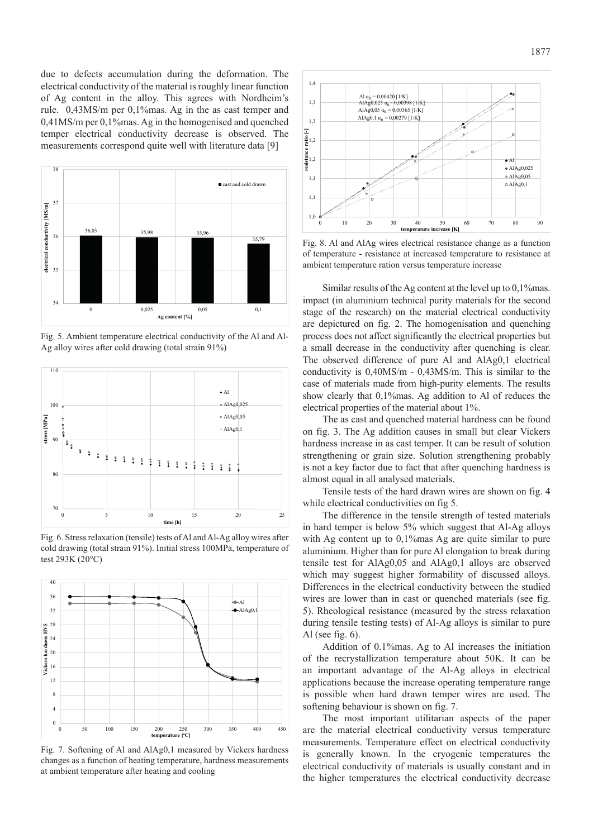due to defects accumulation during the deformation. The electrical conductivity of the material is roughly linear function of Ag content in the alloy. This agrees with Nordheim's rule. 0,43MS/m per 0,1%mas. Ag in the as cast temper and 0,41MS/m per 0,1%mas. Ag in the homogenised and quenched temper electrical conductivity decrease is observed. The measurements correspond quite well with literature data [9]



Fig. 5. Ambient temperature electrical conductivity of the Al and Al-Ag alloy wires after cold drawing (total strain 91%)



Fig. 6. Stress relaxation (tensile) tests of Al and Al-Ag alloy wires after cold drawing (total strain 91%). Initial stress 100MPa, temperature of test 293K (20°C)



Fig. 7. Softening of Al and AlAg0,1 measured by Vickers hardness changes as a function of heating temperature, hardness measurements at ambient temperature after heating and cooling



Fig. 8. Al and AlAg wires electrical resistance change as a function of temperature - resistance at increased temperature to resistance at ambient temperature ration versus temperature increase

Similar results of the Ag content at the level up to 0,1%mas. impact (in aluminium technical purity materials for the second stage of the research) on the material electrical conductivity are depictured on fig. 2. The homogenisation and quenching process does not affect significantly the electrical properties but a small decrease in the conductivity after quenching is clear. The observed difference of pure Al and AlAg0,1 electrical conductivity is 0,40MS/m - 0,43MS/m. This is similar to the case of materials made from high-purity elements. The results show clearly that 0,1%mas. Ag addition to Al of reduces the electrical properties of the material about 1%.

The as cast and quenched material hardness can be found on fig. 3. The Ag addition causes in small but clear Vickers hardness increase in as cast temper. It can be result of solution strengthening or grain size. Solution strengthening probably is not a key factor due to fact that after quenching hardness is almost equal in all analysed materials.

Tensile tests of the hard drawn wires are shown on fig. 4 while electrical conductivities on fig 5.

The difference in the tensile strength of tested materials in hard temper is below 5% which suggest that Al-Ag alloys with Ag content up to 0,1%mas Ag are quite similar to pure aluminium. Higher than for pure Al elongation to break during tensile test for AlAg0,05 and AlAg0,1 alloys are observed which may suggest higher formability of discussed alloys. Differences in the electrical conductivity between the studied wires are lower than in cast or quenched materials (see fig. 5). Rheological resistance (measured by the stress relaxation during tensile testing tests) of Al-Ag alloys is similar to pure Al (see fig. 6).

Addition of 0.1%mas. Ag to Al increases the initiation of the recrystallization temperature about 50K. It can be an important advantage of the Al-Ag alloys in electrical applications because the increase operating temperature range is possible when hard drawn temper wires are used. The softening behaviour is shown on fig. 7.

The most important utilitarian aspects of the paper are the material electrical conductivity versus temperature measurements. Temperature effect on electrical conductivity is generally known. In the cryogenic temperatures the electrical conductivity of materials is usually constant and in the higher temperatures the electrical conductivity decrease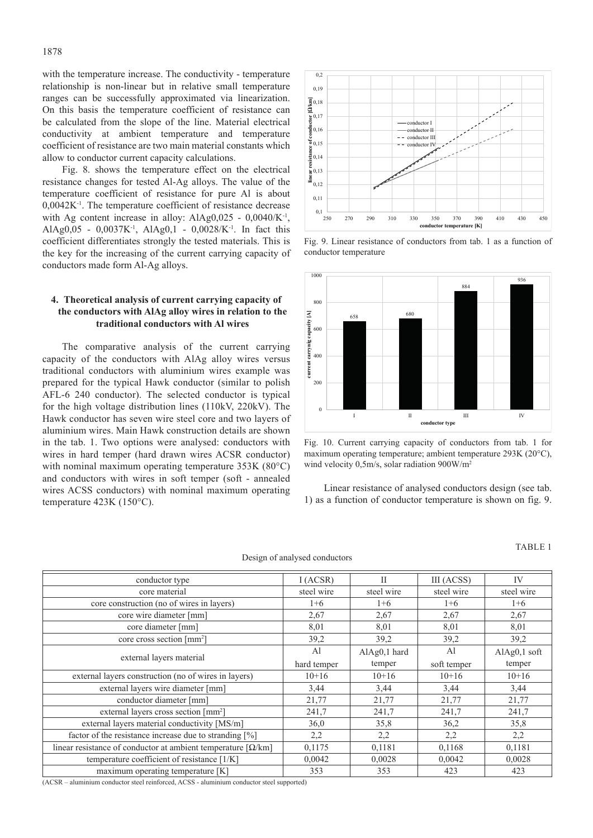with the temperature increase. The conductivity - temperature relationship is non-linear but in relative small temperature ranges can be successfully approximated via linearization. On this basis the temperature coefficient of resistance can be calculated from the slope of the line. Material electrical conductivity at ambient temperature and temperature coefficient of resistance are two main material constants which allow to conductor current capacity calculations.

Fig. 8. shows the temperature effect on the electrical resistance changes for tested Al-Ag alloys. The value of the temperature coefficient of resistance for pure Al is about 0,0042K-1. The temperature coefficient of resistance decrease with Ag content increase in alloy:  $AIAg0,025 - 0,0040/K^{-1}$ , AlAg0,05 - 0,0037K-1, AlAg0,1 - 0,0028/K-1. In fact this coefficient differentiates strongly the tested materials. This is the key for the increasing of the current carrying capacity of conductors made form Al-Ag alloys.

# **4. Theoretical analysis of current carrying capacity of the conductors with AlAg alloy wires in relation to the traditional conductors with Al wires**

The comparative analysis of the current carrying capacity of the conductors with AlAg alloy wires versus traditional conductors with aluminium wires example was prepared for the typical Hawk conductor (similar to polish AFL-6 240 conductor). The selected conductor is typical for the high voltage distribution lines (110kV, 220kV). The Hawk conductor has seven wire steel core and two layers of aluminium wires. Main Hawk construction details are shown in the tab. 1. Two options were analysed: conductors with wires in hard temper (hard drawn wires ACSR conductor) with nominal maximum operating temperature 353K (80°C) and conductors with wires in soft temper (soft - annealed wires ACSS conductors) with nominal maximum operating temperature 423K (150°C).



Fig. 9. Linear resistance of conductors from tab. 1 as a function of conductor temperature



Fig. 10. Current carrying capacity of conductors from tab. 1 for maximum operating temperature; ambient temperature 293K (20°C), wind velocity 0,5m/s, solar radiation 900W/m<sup>2</sup>

Linear resistance of analysed conductors design (see tab. 1) as a function of conductor temperature is shown on fig. 9.

Design of analysed conductors

### TABLE 1

| conductor type                                                                        | I (ACSR)      | П              | III (ACSS)     | IV           |
|---------------------------------------------------------------------------------------|---------------|----------------|----------------|--------------|
| core material                                                                         | steel wire    | steel wire     | steel wire     | steel wire   |
| core construction (no of wires in layers)                                             | $1 + 6$       | $1+6$          | $1 + 6$        | $1+6$        |
| core wire diameter [mm]                                                               | 2,67          | 2,67           | 2,67           | 2,67         |
| core diameter [mm]                                                                    | 8,01          | 8,01           | 8,01           | 8,01         |
| core cross section [mm <sup>2</sup> ]                                                 | 39,2          | 39,2           | 39,2           | 39,2         |
| external layers material                                                              | $\mathsf{A}1$ | $AlAg0,1$ hard | A <sup>1</sup> | AlAg0,1 soft |
|                                                                                       | hard temper   | temper         | soft temper    | temper       |
| external layers construction (no of wires in layers)                                  | $10+16$       | $10+16$        | $10+16$        | $10+16$      |
| external layers wire diameter [mm]                                                    | 3,44          | 3,44           | 3,44           | 3,44         |
| conductor diameter [mm]                                                               | 21,77         | 21,77          | 21,77          | 21,77        |
| external layers cross section [mm <sup>2</sup> ]                                      | 241,7         | 241,7          | 241,7          | 241,7        |
| external layers material conductivity [MS/m]                                          | 36,0          | 35,8           | 36,2           | 35,8         |
| factor of the resistance increase due to stranding [%]                                | 2,2           | 2,2            | 2,2            | 2,2          |
| linear resistance of conductor at ambient temperature $\lceil \Omega/{\rm km} \rceil$ | 0,1175        | 0,1181         | 0,1168         | 0,1181       |
| temperature coefficient of resistance [1/K]                                           | 0,0042        | 0,0028         | 0,0042         | 0,0028       |
| maximum operating temperature [K]                                                     | 353           | 353            | 423            | 423          |

(ACSR – aluminium conductor steel reinforced, ACSS - aluminium conductor steel supported)